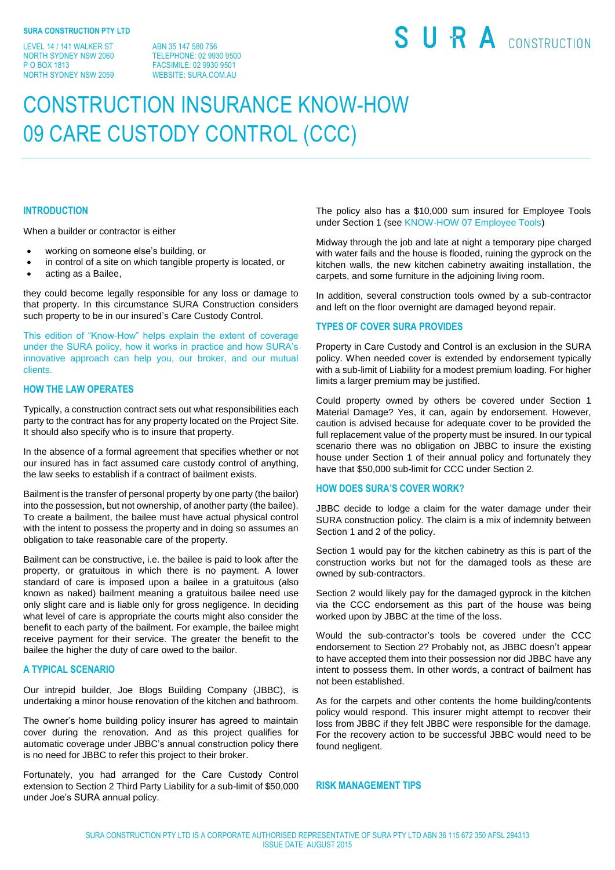LEVEL 14 / 141 WALKER ST NORTH SYDNEY NSW 2060 P O BOX 1813 NORTH SYDNEY NSW 2059

ABN 35 147 580 756 TELEPHONE: 02 9930 9500 FACSIMILE: 02 9930 9501 WEBSITE: SURA COM AU

# SURA CONSTRUCTION

# CONSTRUCTION INSURANCE KNOW-HOW 09 CARE CUSTODY CONTROL (CCC)

#### **INTRODUCTION**

When a builder or contractor is either

- working on someone else's building, or
- in control of a site on which tangible property is located, or
- acting as a Bailee,

they could become legally responsible for any loss or damage to that property. In this circumstance SURA Construction considers such property to be in our insured's Care Custody Control.

This edition of "Know-How" helps explain the extent of coverage under the SURA policy, how it works in practice and how SURA's innovative approach can help you, our broker, and our mutual clients.

# **HOW THE LAW OPERATES**

Typically, a construction contract sets out what responsibilities each party to the contract has for any property located on the Project Site. It should also specify who is to insure that property.

In the absence of a formal agreement that specifies whether or not our insured has in fact assumed care custody control of anything, the law seeks to establish if a contract of bailment exists.

Bailment is the transfer of personal property by one party (the bailor) into the possession, but not ownership, of another party (the bailee). To create a bailment, the bailee must have actual physical control with the intent to possess the property and in doing so assumes an obligation to take reasonable care of the property.

Bailment can be constructive, i.e. the bailee is paid to look after the property, or gratuitous in which there is no payment. A lower standard of care is imposed upon a bailee in a gratuitous (also known as naked) bailment meaning a gratuitous bailee need use only slight care and is liable only for gross negligence. In deciding what level of care is appropriate the courts might also consider the benefit to each party of the bailment. For example, the bailee might receive payment for their service. The greater the benefit to the bailee the higher the duty of care owed to the bailor.

#### **A TYPICAL SCENARIO**

Our intrepid builder, Joe Blogs Building Company (JBBC), is undertaking a minor house renovation of the kitchen and bathroom.

The owner's home building policy insurer has agreed to maintain cover during the renovation. And as this project qualifies for automatic coverage under JBBC's annual construction policy there is no need for JBBC to refer this project to their broker.

Fortunately, you had arranged for the Care Custody Control extension to Section 2 Third Party Liability for a sub-limit of \$50,000 under Joe's SURA annual policy.

The policy also has a \$10,000 sum insured for Employee Tools under Section 1 (see KNOW-HOW 07 Employee Tools)

Midway through the job and late at night a temporary pipe charged with water fails and the house is flooded, ruining the gyprock on the kitchen walls, the new kitchen cabinetry awaiting installation, the carpets, and some furniture in the adjoining living room.

In addition, several construction tools owned by a sub-contractor and left on the floor overnight are damaged beyond repair.

#### **TYPES OF COVER SURA PROVIDES**

Property in Care Custody and Control is an exclusion in the SURA policy. When needed cover is extended by endorsement typically with a sub-limit of Liability for a modest premium loading. For higher limits a larger premium may be justified.

Could property owned by others be covered under Section 1 Material Damage? Yes, it can, again by endorsement. However, caution is advised because for adequate cover to be provided the full replacement value of the property must be insured. In our typical scenario there was no obligation on JBBC to insure the existing house under Section 1 of their annual policy and fortunately they have that \$50,000 sub-limit for CCC under Section 2.

## **HOW DOES SURA'S COVER WORK?**

JBBC decide to lodge a claim for the water damage under their SURA construction policy. The claim is a mix of indemnity between Section 1 and 2 of the policy.

Section 1 would pay for the kitchen cabinetry as this is part of the construction works but not for the damaged tools as these are owned by sub-contractors.

Section 2 would likely pay for the damaged gyprock in the kitchen via the CCC endorsement as this part of the house was being worked upon by JBBC at the time of the loss.

Would the sub-contractor's tools be covered under the CCC endorsement to Section 2? Probably not, as JBBC doesn't appear to have accepted them into their possession nor did JBBC have any intent to possess them. In other words, a contract of bailment has not been established.

As for the carpets and other contents the home building/contents policy would respond. This insurer might attempt to recover their loss from JBBC if they felt JBBC were responsible for the damage. For the recovery action to be successful JBBC would need to be found negligent.

### **RISK MANAGEMENT TIPS**